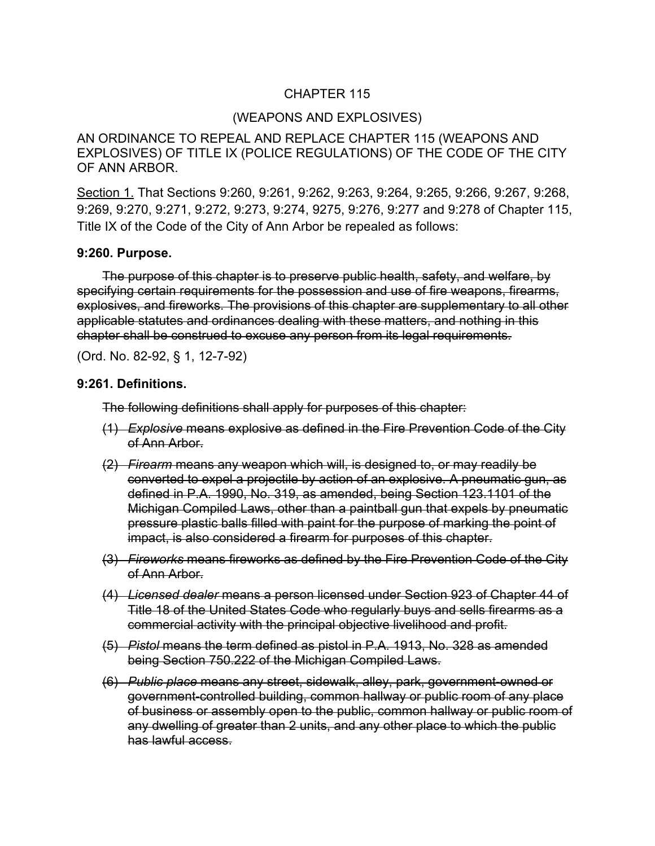## CHAPTER 115

### (WEAPONS AND EXPLOSIVES)

AN ORDINANCE TO REPEAL AND REPLACE CHAPTER 115 (WEAPONS AND EXPLOSIVES) OF TITLE IX (POLICE REGULATIONS) OF THE CODE OF THE CITY OF ANN ARBOR.

Section 1. That Sections 9:260, 9:261, 9:262, 9:263, 9:264, 9:265, 9:266, 9:267, 9:268, 9:269, 9:270, 9:271, 9:272, 9:273, 9:274, 9275, 9:276, 9:277 and 9:278 of Chapter 115, Title IX of the Code of the City of Ann Arbor be repealed as follows:

#### **9:260. Purpose.**

The purpose of this chapter is to preserve public health, safety, and welfare, by specifying certain requirements for the possession and use of fire weapons, firearms, explosives, and fireworks. The provisions of this chapter are supplementary to all other applicable statutes and ordinances dealing with these matters, and nothing in this chapter shall be construed to excuse any person from its legal requirements.

(Ord. No. 82-92, § 1, 12-7-92)

#### **9:261. Definitions.**

The following definitions shall apply for purposes of this chapter:

- (1) *Explosive* means explosive as defined in the Fire Prevention Code of the City of Ann Arbor.
- (2) *Firearm* means any weapon which will, is designed to, or may readily be converted to expel a projectile by action of an explosive. A pneumatic gun, as defined in P.A. 1990, No. 319, as amended, being Section 123.1101 of the Michigan Compiled Laws, other than a paintball gun that expels by pneumatic pressure plastic balls filled with paint for the purpose of marking the point of impact, is also considered a firearm for purposes of this chapter.
- (3) *Fireworks* means fireworks as defined by the Fire Prevention Code of the City of Ann Arbor.
- (4) *Licensed dealer* means a person licensed under Section 923 of Chapter 44 of Title 18 of the United States Code who regularly buys and sells firearms as a commercial activity with the principal objective livelihood and profit.
- (5) *Pistol* means the term defined as pistol in P.A. 1913, No. 328 as amended being Section 750.222 of the Michigan Compiled Laws.
- (6) *Public place* means any street, sidewalk, alley, park, government-owned or government-controlled building, common hallway or public room of any place of business or assembly open to the public, common hallway or public room of any dwelling of greater than 2 units, and any other place to which the public has lawful access.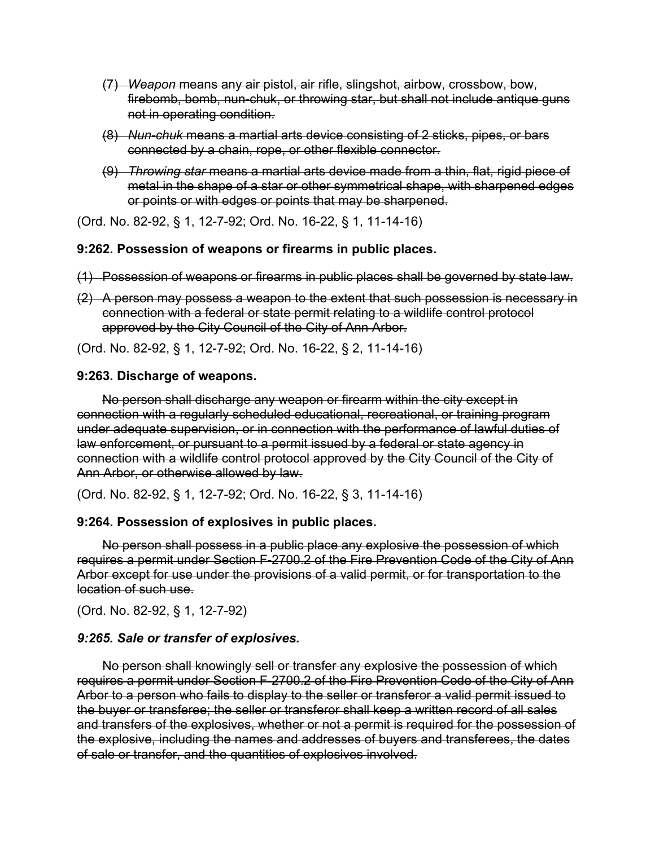- (7) *Weapon* means any air pistol, air rifle, slingshot, airbow, crossbow, bow, firebomb, bomb, nun-chuk, or throwing star, but shall not include antique guns not in operating condition.
- (8) *Nun-chuk* means a martial arts device consisting of 2 sticks, pipes, or bars connected by a chain, rope, or other flexible connector.
- (9) *Throwing star* means a martial arts device made from a thin, flat, rigid piece of metal in the shape of a star or other symmetrical shape, with sharpened edges or points or with edges or points that may be sharpened.

(Ord. No. 82-92, § 1, 12-7-92; Ord. No. 16-22, § 1, 11-14-16)

#### **9:262. Possession of weapons or firearms in public places.**

- (1) Possession of weapons or firearms in public places shall be governed by state law.
- (2) A person may possess a weapon to the extent that such possession is necessary in connection with a federal or state permit relating to a wildlife control protocol approved by the City Council of the City of Ann Arbor.

(Ord. No. 82-92, § 1, 12-7-92; Ord. No. 16-22, § 2, 11-14-16)

#### **9:263. Discharge of weapons.**

No person shall discharge any weapon or firearm within the city except in connection with a regularly scheduled educational, recreational, or training program under adequate supervision, or in connection with the performance of lawful duties of law enforcement, or pursuant to a permit issued by a federal or state agency in connection with a wildlife control protocol approved by the City Council of the City of Ann Arbor, or otherwise allowed by law.

(Ord. No. 82-92, § 1, 12-7-92; Ord. No. 16-22, § 3, 11-14-16)

#### **9:264. Possession of explosives in public places.**

No person shall possess in a public place any explosive the possession of which requires a permit under Section F-2700.2 of the Fire Prevention Code of the City of Ann Arbor except for use under the provisions of a valid permit, or for transportation to the location of such use.

(Ord. No. 82-92, § 1, 12-7-92)

#### *9:265. Sale or transfer of explosives.*

No person shall knowingly sell or transfer any explosive the possession of which requires a permit under Section F-2700.2 of the Fire Prevention Code of the City of Ann Arbor to a person who fails to display to the seller or transferor a valid permit issued to the buyer or transferee; the seller or transferor shall keep a written record of all sales and transfers of the explosives, whether or not a permit is required for the possession of the explosive, including the names and addresses of buyers and transferees, the dates of sale or transfer, and the quantities of explosives involved.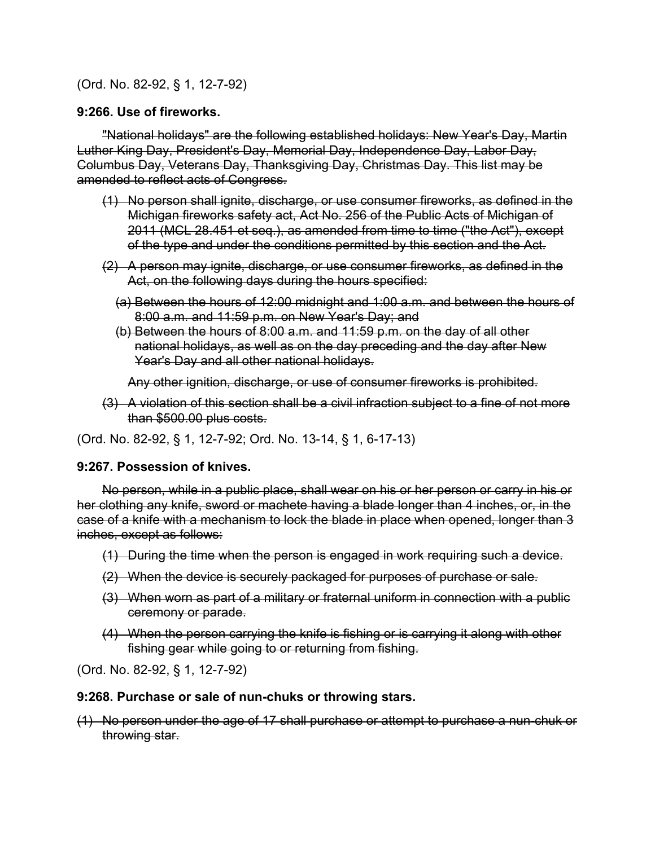(Ord. No. 82-92, § 1, 12-7-92)

### **9:266. Use of fireworks.**

"National holidays" are the following established holidays: New Year's Day, Martin Luther King Day, President's Day, Memorial Day, Independence Day, Labor Day, Columbus Day, Veterans Day, Thanksgiving Day, Christmas Day. This list may be amended to reflect acts of Congress.

- (1) No person shall ignite, discharge, or use consumer fireworks, as defined in the Michigan fireworks safety act, Act No. 256 of the Public Acts of Michigan of 2011 (MCL 28.451 et seq.), as amended from time to time ("the Act"), except of the type and under the conditions permitted by this section and the Act.
- (2) A person may ignite, discharge, or use consumer fireworks, as defined in the Act, on the following days during the hours specified:
	- (a) Between the hours of 12:00 midnight and 1:00 a.m. and between the hours of 8:00 a.m. and 11:59 p.m. on New Year's Day; and
	- (b) Between the hours of 8:00 a.m. and 11:59 p.m. on the day of all other national holidays, as well as on the day preceding and the day after New Year's Day and all other national holidays.

Any other ignition, discharge, or use of consumer fireworks is prohibited.

(3) A violation of this section shall be a civil infraction subject to a fine of not more than \$500.00 plus costs.

(Ord. No. 82-92, § 1, 12-7-92; Ord. No. 13-14, § 1, 6-17-13)

### **9:267. Possession of knives.**

No person, while in a public place, shall wear on his or her person or carry in his or her clothing any knife, sword or machete having a blade longer than 4 inches, or, in the case of a knife with a mechanism to lock the blade in place when opened, longer than 3 inches, except as follows:

- (1) During the time when the person is engaged in work requiring such a device.
- (2) When the device is securely packaged for purposes of purchase or sale.
- (3) When worn as part of a military or fraternal uniform in connection with a public ceremony or parade.
- (4) When the person carrying the knife is fishing or is carrying it along with other fishing gear while going to or returning from fishing.

(Ord. No. 82-92, § 1, 12-7-92)

#### **9:268. Purchase or sale of nun-chuks or throwing stars.**

(1) No person under the age of 17 shall purchase or attempt to purchase a nun-chuk or throwing star.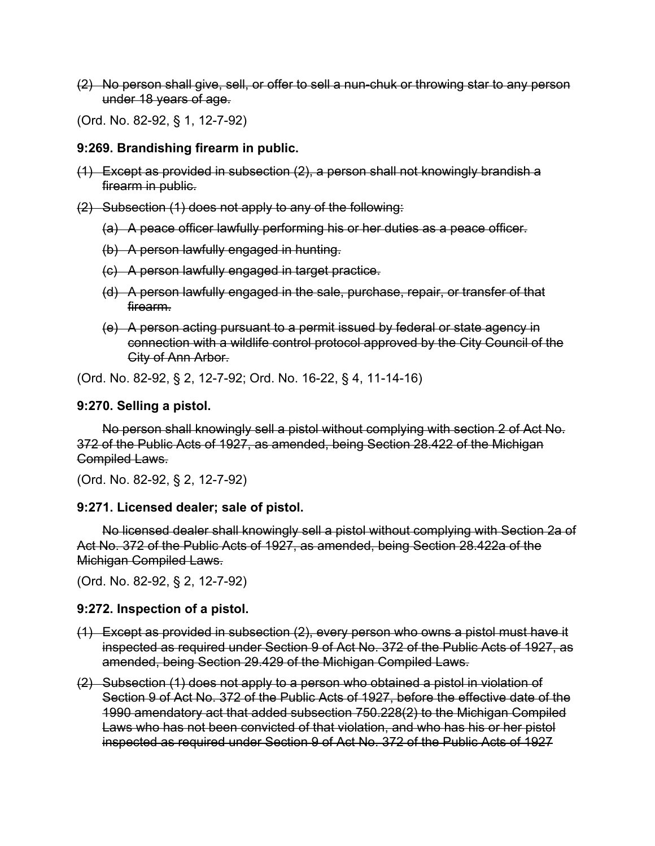(2) No person shall give, sell, or offer to sell a nun-chuk or throwing star to any person under 18 years of age.

(Ord. No. 82-92, § 1, 12-7-92)

#### **9:269. Brandishing firearm in public.**

(1) Except as provided in subsection (2), a person shall not knowingly brandish a firearm in public.

(2) Subsection (1) does not apply to any of the following:

- (a) A peace officer lawfully performing his or her duties as a peace officer.
- (b) A person lawfully engaged in hunting.
- (c) A person lawfully engaged in target practice.
- (d) A person lawfully engaged in the sale, purchase, repair, or transfer of that firearm.
- (e) A person acting pursuant to a permit issued by federal or state agency in connection with a wildlife control protocol approved by the City Council of the City of Ann Arbor.

(Ord. No. 82-92, § 2, 12-7-92; Ord. No. 16-22, § 4, 11-14-16)

#### **9:270. Selling a pistol.**

No person shall knowingly sell a pistol without complying with section 2 of Act No. 372 of the Public Acts of 1927, as amended, being Section 28.422 of the Michigan Compiled Laws.

(Ord. No. 82-92, § 2, 12-7-92)

#### **9:271. Licensed dealer; sale of pistol.**

No licensed dealer shall knowingly sell a pistol without complying with Section 2a of Act No. 372 of the Public Acts of 1927, as amended, being Section 28.422a of the Michigan Compiled Laws.

(Ord. No. 82-92, § 2, 12-7-92)

#### **9:272. Inspection of a pistol.**

- (1) Except as provided in subsection (2), every person who owns a pistol must have it inspected as required under Section 9 of Act No. 372 of the Public Acts of 1927, as amended, being Section 29.429 of the Michigan Compiled Laws.
- (2) Subsection (1) does not apply to a person who obtained a pistol in violation of Section 9 of Act No. 372 of the Public Acts of 1927, before the effective date of the 1990 amendatory act that added subsection 750.228(2) to the Michigan Compiled Laws who has not been convicted of that violation, and who has his or her pistol inspected as required under Section 9 of Act No. 372 of the Public Acts of 1927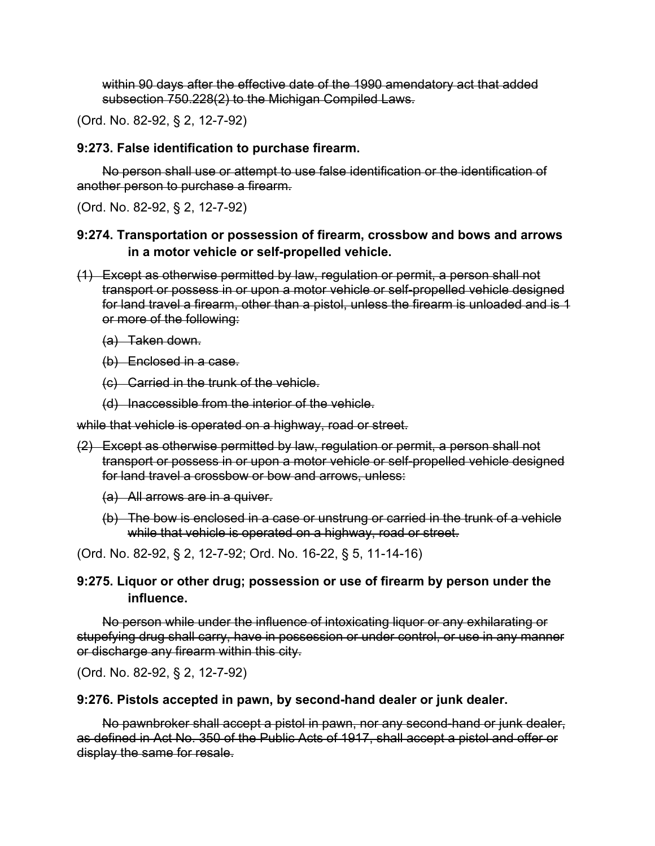within 90 days after the effective date of the 1990 amendatory act that added subsection 750.228(2) to the Michigan Compiled Laws.

(Ord. No. 82-92, § 2, 12-7-92)

### **9:273. False identification to purchase firearm.**

No person shall use or attempt to use false identification or the identification of another person to purchase a firearm.

(Ord. No. 82-92, § 2, 12-7-92)

# **9:274. Transportation or possession of firearm, crossbow and bows and arrows in a motor vehicle or self-propelled vehicle.**

- (1) Except as otherwise permitted by law, regulation or permit, a person shall not transport or possess in or upon a motor vehicle or self-propelled vehicle designed for land travel a firearm, other than a pistol, unless the firearm is unloaded and is 1 or more of the following:
	- (a) Taken down.
	- (b) Enclosed in a case.
	- (c) Carried in the trunk of the vehicle.
	- (d) Inaccessible from the interior of the vehicle.

while that vehicle is operated on a highway, road or street.

- (2) Except as otherwise permitted by law, regulation or permit, a person shall not transport or possess in or upon a motor vehicle or self-propelled vehicle designed for land travel a crossbow or bow and arrows, unless:
	- (a) All arrows are in a quiver.
	- (b) The bow is enclosed in a case or unstrung or carried in the trunk of a vehicle while that vehicle is operated on a highway, road or street.

(Ord. No. 82-92, § 2, 12-7-92; Ord. No. 16-22, § 5, 11-14-16)

## **9:275. Liquor or other drug; possession or use of firearm by person under the influence.**

No person while under the influence of intoxicating liquor or any exhilarating or stupefying drug shall carry, have in possession or under control, or use in any manner or discharge any firearm within this city.

(Ord. No. 82-92, § 2, 12-7-92)

### **9:276. Pistols accepted in pawn, by second-hand dealer or junk dealer.**

No pawnbroker shall accept a pistol in pawn, nor any second-hand or junk dealer, as defined in Act No. 350 of the Public Acts of 1917, shall accept a pistol and offer or display the same for resale.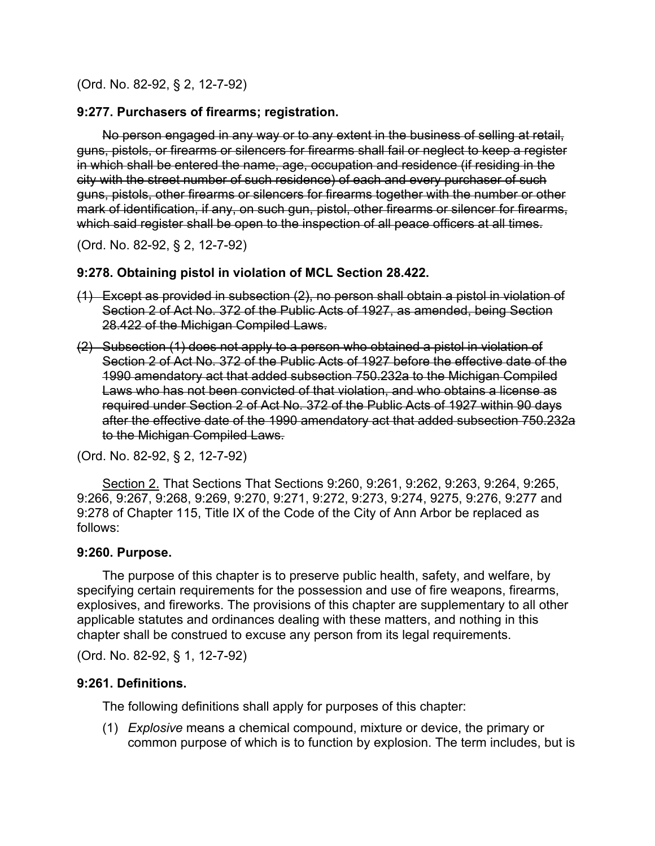(Ord. No. 82-92, § 2, 12-7-92)

#### **9:277. Purchasers of firearms; registration.**

No person engaged in any way or to any extent in the business of selling at retail, guns, pistols, or firearms or silencers for firearms shall fail or neglect to keep a register in which shall be entered the name, age, occupation and residence (if residing in the city with the street number of such residence) of each and every purchaser of such guns, pistols, other firearms or silencers for firearms together with the number or other mark of identification, if any, on such gun, pistol, other firearms or silencer for firearms, which said register shall be open to the inspection of all peace officers at all times.

(Ord. No. 82-92, § 2, 12-7-92)

#### **9:278. Obtaining pistol in violation of MCL Section 28.422.**

- (1) Except as provided in subsection (2), no person shall obtain a pistol in violation of Section 2 of Act No. 372 of the Public Acts of 1927, as amended, being Section 28.422 of the Michigan Compiled Laws.
- (2) Subsection (1) does not apply to a person who obtained a pistol in violation of Section 2 of Act No. 372 of the Public Acts of 1927 before the effective date of the 1990 amendatory act that added subsection 750.232a to the Michigan Compiled Laws who has not been convicted of that violation, and who obtains a license as required under Section 2 of Act No. 372 of the Public Acts of 1927 within 90 days after the effective date of the 1990 amendatory act that added subsection 750.232a to the Michigan Compiled Laws.

(Ord. No. 82-92, § 2, 12-7-92)

Section 2. That Sections That Sections 9:260, 9:261, 9:262, 9:263, 9:264, 9:265, 9:266, 9:267, 9:268, 9:269, 9:270, 9:271, 9:272, 9:273, 9:274, 9275, 9:276, 9:277 and 9:278 of Chapter 115, Title IX of the Code of the City of Ann Arbor be replaced as follows:

#### **9:260. Purpose.**

The purpose of this chapter is to preserve public health, safety, and welfare, by specifying certain requirements for the possession and use of fire weapons, firearms, explosives, and fireworks. The provisions of this chapter are supplementary to all other applicable statutes and ordinances dealing with these matters, and nothing in this chapter shall be construed to excuse any person from its legal requirements.

(Ord. No. 82-92, § 1, 12-7-92)

#### **9:261. Definitions.**

The following definitions shall apply for purposes of this chapter:

(1) *Explosive* means a chemical compound, mixture or device, the primary or common purpose of which is to function by explosion. The term includes, but is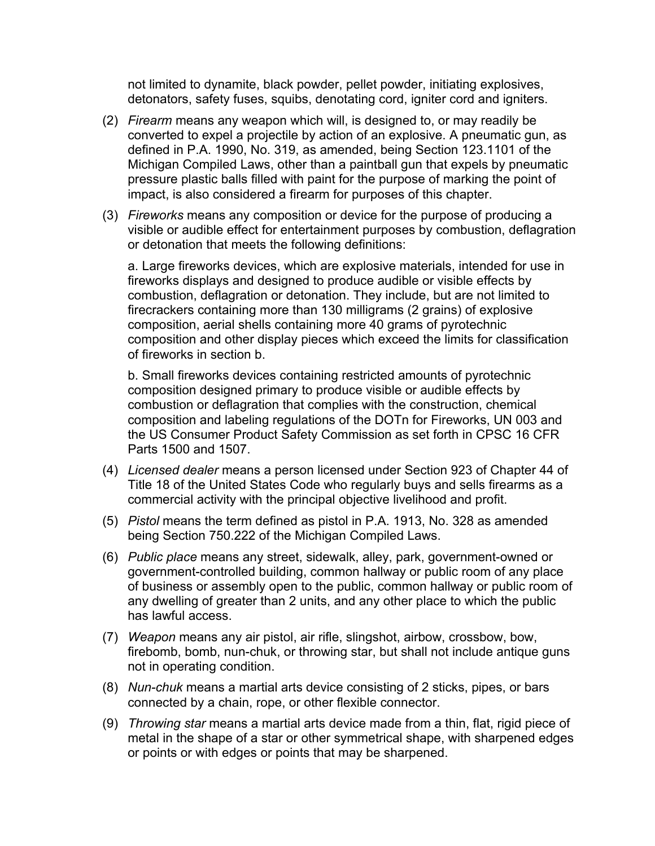not limited to dynamite, black powder, pellet powder, initiating explosives, detonators, safety fuses, squibs, denotating cord, igniter cord and igniters.

- (2) *Firearm* means any weapon which will, is designed to, or may readily be converted to expel a projectile by action of an explosive. A pneumatic gun, as defined in P.A. 1990, No. 319, as amended, being Section 123.1101 of the Michigan Compiled Laws, other than a paintball gun that expels by pneumatic pressure plastic balls filled with paint for the purpose of marking the point of impact, is also considered a firearm for purposes of this chapter.
- (3) *Fireworks* means any composition or device for the purpose of producing a visible or audible effect for entertainment purposes by combustion, deflagration or detonation that meets the following definitions:

 a. Large fireworks devices, which are explosive materials, intended for use in fireworks displays and designed to produce audible or visible effects by combustion, deflagration or detonation. They include, but are not limited to firecrackers containing more than 130 milligrams (2 grains) of explosive composition, aerial shells containing more 40 grams of pyrotechnic composition and other display pieces which exceed the limits for classification of fireworks in section b.

 b. Small fireworks devices containing restricted amounts of pyrotechnic composition designed primary to produce visible or audible effects by combustion or deflagration that complies with the construction, chemical composition and labeling regulations of the DOTn for Fireworks, UN 003 and the US Consumer Product Safety Commission as set forth in CPSC 16 CFR Parts 1500 and 1507.

- (4) *Licensed dealer* means a person licensed under Section 923 of Chapter 44 of Title 18 of the United States Code who regularly buys and sells firearms as a commercial activity with the principal objective livelihood and profit.
- (5) *Pistol* means the term defined as pistol in P.A. 1913, No. 328 as amended being Section 750.222 of the Michigan Compiled Laws.
- (6) *Public place* means any street, sidewalk, alley, park, government-owned or government-controlled building, common hallway or public room of any place of business or assembly open to the public, common hallway or public room of any dwelling of greater than 2 units, and any other place to which the public has lawful access.
- (7) *Weapon* means any air pistol, air rifle, slingshot, airbow, crossbow, bow, firebomb, bomb, nun-chuk, or throwing star, but shall not include antique guns not in operating condition.
- (8) *Nun-chuk* means a martial arts device consisting of 2 sticks, pipes, or bars connected by a chain, rope, or other flexible connector.
- (9) *Throwing star* means a martial arts device made from a thin, flat, rigid piece of metal in the shape of a star or other symmetrical shape, with sharpened edges or points or with edges or points that may be sharpened.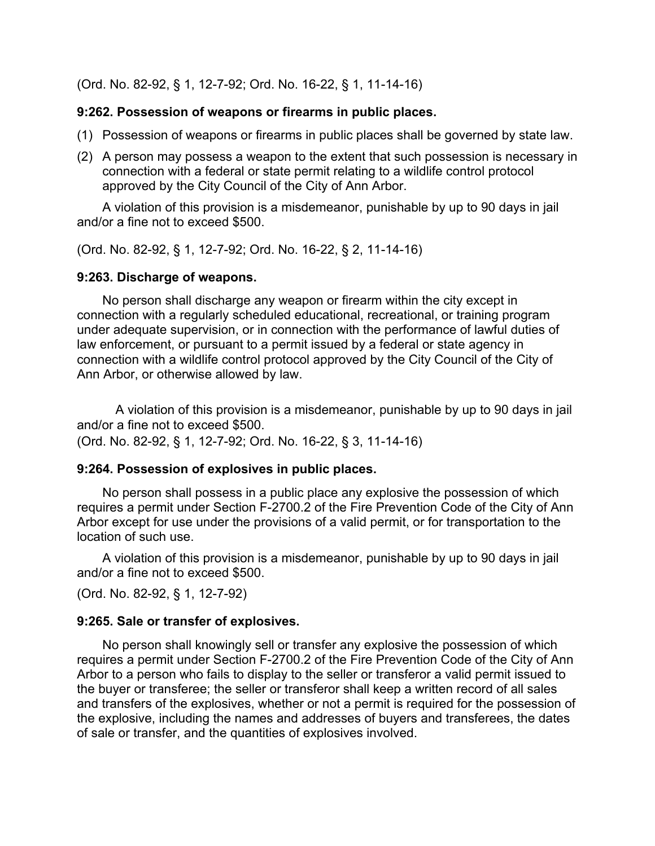(Ord. No. 82-92, § 1, 12-7-92; Ord. No. 16-22, § 1, 11-14-16)

## **9:262. Possession of weapons or firearms in public places.**

- (1) Possession of weapons or firearms in public places shall be governed by state law.
- (2) A person may possess a weapon to the extent that such possession is necessary in connection with a federal or state permit relating to a wildlife control protocol approved by the City Council of the City of Ann Arbor.

A violation of this provision is a misdemeanor, punishable by up to 90 days in jail and/or a fine not to exceed \$500.

(Ord. No. 82-92, § 1, 12-7-92; Ord. No. 16-22, § 2, 11-14-16)

## **9:263. Discharge of weapons.**

No person shall discharge any weapon or firearm within the city except in connection with a regularly scheduled educational, recreational, or training program under adequate supervision, or in connection with the performance of lawful duties of law enforcement, or pursuant to a permit issued by a federal or state agency in connection with a wildlife control protocol approved by the City Council of the City of Ann Arbor, or otherwise allowed by law.

 A violation of this provision is a misdemeanor, punishable by up to 90 days in jail and/or a fine not to exceed \$500.

(Ord. No. 82-92, § 1, 12-7-92; Ord. No. 16-22, § 3, 11-14-16)

# **9:264. Possession of explosives in public places.**

No person shall possess in a public place any explosive the possession of which requires a permit under Section F-2700.2 of the Fire Prevention Code of the City of Ann Arbor except for use under the provisions of a valid permit, or for transportation to the location of such use.

A violation of this provision is a misdemeanor, punishable by up to 90 days in jail and/or a fine not to exceed \$500.

(Ord. No. 82-92, § 1, 12-7-92)

# **9:265. Sale or transfer of explosives.**

No person shall knowingly sell or transfer any explosive the possession of which requires a permit under Section F-2700.2 of the Fire Prevention Code of the City of Ann Arbor to a person who fails to display to the seller or transferor a valid permit issued to the buyer or transferee; the seller or transferor shall keep a written record of all sales and transfers of the explosives, whether or not a permit is required for the possession of the explosive, including the names and addresses of buyers and transferees, the dates of sale or transfer, and the quantities of explosives involved.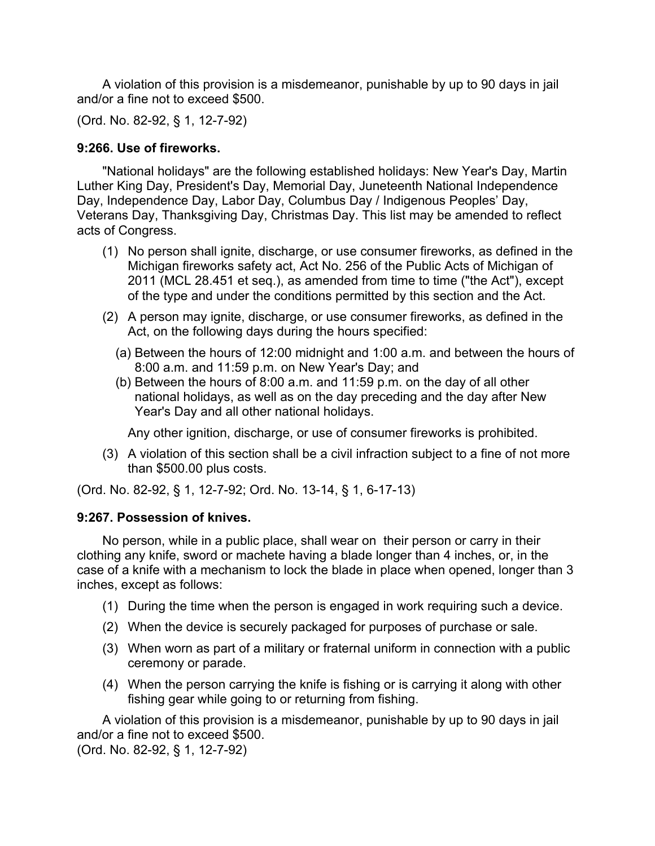A violation of this provision is a misdemeanor, punishable by up to 90 days in jail and/or a fine not to exceed \$500.

(Ord. No. 82-92, § 1, 12-7-92)

# **9:266. Use of fireworks.**

"National holidays" are the following established holidays: New Year's Day, Martin Luther King Day, President's Day, Memorial Day, Juneteenth National Independence Day, Independence Day, Labor Day, Columbus Day / Indigenous Peoples' Day, Veterans Day, Thanksgiving Day, Christmas Day. This list may be amended to reflect acts of Congress.

- (1) No person shall ignite, discharge, or use consumer fireworks, as defined in the Michigan fireworks safety act, Act No. 256 of the Public Acts of Michigan of 2011 (MCL 28.451 et seq.), as amended from time to time ("the Act"), except of the type and under the conditions permitted by this section and the Act.
- (2) A person may ignite, discharge, or use consumer fireworks, as defined in the Act, on the following days during the hours specified:
	- (a) Between the hours of 12:00 midnight and 1:00 a.m. and between the hours of 8:00 a.m. and 11:59 p.m. on New Year's Day; and
	- (b) Between the hours of 8:00 a.m. and 11:59 p.m. on the day of all other national holidays, as well as on the day preceding and the day after New Year's Day and all other national holidays.

Any other ignition, discharge, or use of consumer fireworks is prohibited.

(3) A violation of this section shall be a civil infraction subject to a fine of not more than \$500.00 plus costs.

(Ord. No. 82-92, § 1, 12-7-92; Ord. No. 13-14, § 1, 6-17-13)

# **9:267. Possession of knives.**

No person, while in a public place, shall wear on their person or carry in their clothing any knife, sword or machete having a blade longer than 4 inches, or, in the case of a knife with a mechanism to lock the blade in place when opened, longer than 3 inches, except as follows:

- (1) During the time when the person is engaged in work requiring such a device.
- (2) When the device is securely packaged for purposes of purchase or sale.
- (3) When worn as part of a military or fraternal uniform in connection with a public ceremony or parade.
- (4) When the person carrying the knife is fishing or is carrying it along with other fishing gear while going to or returning from fishing.

A violation of this provision is a misdemeanor, punishable by up to 90 days in jail and/or a fine not to exceed \$500.

(Ord. No. 82-92, § 1, 12-7-92)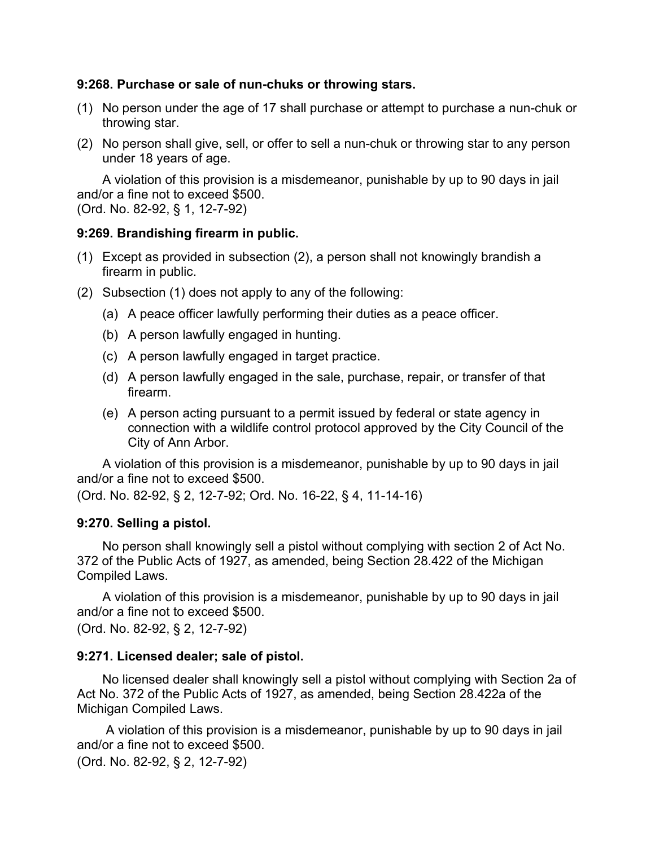### **9:268. Purchase or sale of nun-chuks or throwing stars.**

- (1) No person under the age of 17 shall purchase or attempt to purchase a nun-chuk or throwing star.
- (2) No person shall give, sell, or offer to sell a nun-chuk or throwing star to any person under 18 years of age.

A violation of this provision is a misdemeanor, punishable by up to 90 days in jail and/or a fine not to exceed \$500.

(Ord. No. 82-92, § 1, 12-7-92)

## **9:269. Brandishing firearm in public.**

- (1) Except as provided in subsection (2), a person shall not knowingly brandish a firearm in public.
- (2) Subsection (1) does not apply to any of the following:
	- (a) A peace officer lawfully performing their duties as a peace officer.
	- (b) A person lawfully engaged in hunting.
	- (c) A person lawfully engaged in target practice.
	- (d) A person lawfully engaged in the sale, purchase, repair, or transfer of that firearm.
	- (e) A person acting pursuant to a permit issued by federal or state agency in connection with a wildlife control protocol approved by the City Council of the City of Ann Arbor.

A violation of this provision is a misdemeanor, punishable by up to 90 days in jail and/or a fine not to exceed \$500.

(Ord. No. 82-92, § 2, 12-7-92; Ord. No. 16-22, § 4, 11-14-16)

# **9:270. Selling a pistol.**

No person shall knowingly sell a pistol without complying with section 2 of Act No. 372 of the Public Acts of 1927, as amended, being Section 28.422 of the Michigan Compiled Laws.

A violation of this provision is a misdemeanor, punishable by up to 90 days in jail and/or a fine not to exceed \$500.

(Ord. No. 82-92, § 2, 12-7-92)

# **9:271. Licensed dealer; sale of pistol.**

No licensed dealer shall knowingly sell a pistol without complying with Section 2a of Act No. 372 of the Public Acts of 1927, as amended, being Section 28.422a of the Michigan Compiled Laws.

 A violation of this provision is a misdemeanor, punishable by up to 90 days in jail and/or a fine not to exceed \$500.

(Ord. No. 82-92, § 2, 12-7-92)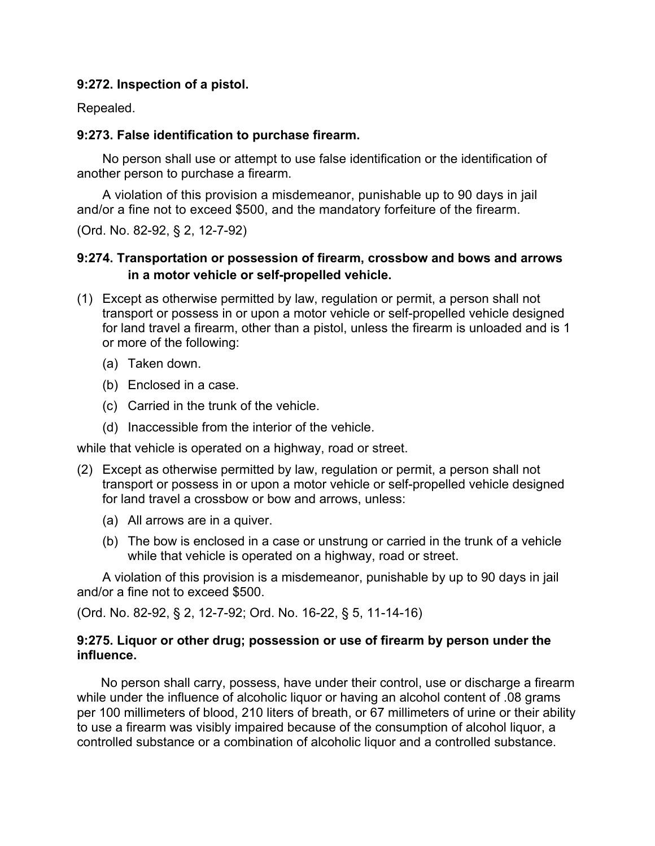### **9:272. Inspection of a pistol.**

Repealed.

### **9:273. False identification to purchase firearm.**

No person shall use or attempt to use false identification or the identification of another person to purchase a firearm.

A violation of this provision a misdemeanor, punishable up to 90 days in jail and/or a fine not to exceed \$500, and the mandatory forfeiture of the firearm.

(Ord. No. 82-92, § 2, 12-7-92)

# **9:274. Transportation or possession of firearm, crossbow and bows and arrows in a motor vehicle or self-propelled vehicle.**

- (1) Except as otherwise permitted by law, regulation or permit, a person shall not transport or possess in or upon a motor vehicle or self-propelled vehicle designed for land travel a firearm, other than a pistol, unless the firearm is unloaded and is 1 or more of the following:
	- (a) Taken down.
	- (b) Enclosed in a case.
	- (c) Carried in the trunk of the vehicle.
	- (d) Inaccessible from the interior of the vehicle.

while that vehicle is operated on a highway, road or street.

- (2) Except as otherwise permitted by law, regulation or permit, a person shall not transport or possess in or upon a motor vehicle or self-propelled vehicle designed for land travel a crossbow or bow and arrows, unless:
	- (a) All arrows are in a quiver.
	- (b) The bow is enclosed in a case or unstrung or carried in the trunk of a vehicle while that vehicle is operated on a highway, road or street.

A violation of this provision is a misdemeanor, punishable by up to 90 days in jail and/or a fine not to exceed \$500.

(Ord. No. 82-92, § 2, 12-7-92; Ord. No. 16-22, § 5, 11-14-16)

## **9:275. Liquor or other drug; possession or use of firearm by person under the influence.**

No person shall carry, possess, have under their control, use or discharge a firearm while under the influence of alcoholic liquor or having an alcohol content of .08 grams per 100 millimeters of blood, 210 liters of breath, or 67 millimeters of urine or their ability to use a firearm was visibly impaired because of the consumption of alcohol liquor, a controlled substance or a combination of alcoholic liquor and a controlled substance.